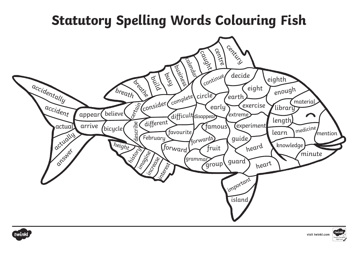## **Statutory Spelling Words Colouring Fish**